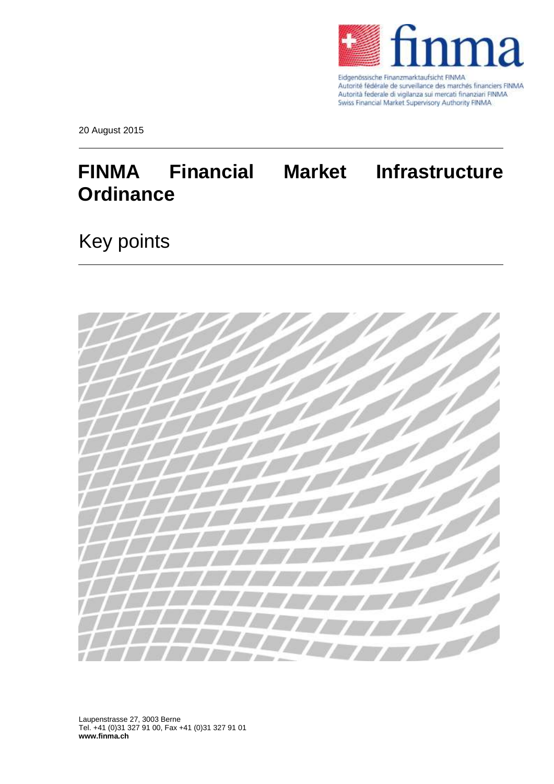

Eidgenössische Finanzmarktaufsicht FINMA Autorité fédérale de surveillance des marchés financiers FINMA Autorità federale di vigilanza sui mercati finanziari FINMA Swiss Financial Market Supervisory Authority FINMA

20 August 2015

## **FINMA Financial Market Infrastructure Ordinance**

## Key points



Laupenstrasse 27, 3003 Berne Tel. +41 (0)31 327 91 00, Fax +41 (0)31 327 91 01 **www.finma.ch**